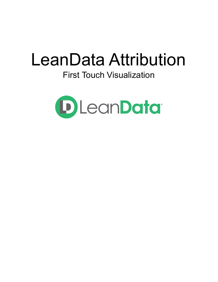# LeanData Attribution

## First Touch Visualization

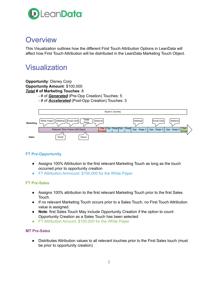

## **Overview**

This Visualization outlines how the different First Touch Attribution Options in LeanData will affect how First Touch Attribution will be distributed in the LeanData Marketing Touch Object.

## **Visualization**

**Opportunity**: Disney Corp **Opportunity Amount**: \$100,000 *Total* **# of Marketing Touches**: 8

- # of *Generated* (Pre-Opp Creation) Touches: 5

- # of *Accelerated* (Post-Opp Creation) Touches: 3



### **FT Pre-Opportunity**

- Assigns 100% Attribution to the first relevant Marketing Touch as long as the touch occurred prior to opportunity creation
- FT Attribution Ammount: \$100,000 for the White Paper

#### **FT Pre-Sales**

- Assigns 100% attribution to the first relevant Marketing Touch prior to the first Sales Touch.
- If no relevant Marketing Touch occurs prior to a Sales Touch, no First Touch Attribution value is assigned.
- **Note**: first Sales Touch May include Opportunity Creation if the option to count Opportunity Creation as a Sales Touch has been selected
- FT Attribution Amount: \$100,000 for the White Paper

#### **MT Pre-Sales**

● Distributes Attribution values to all relevant touches prior to the First Sales touch (must be prior to opportunity creation)